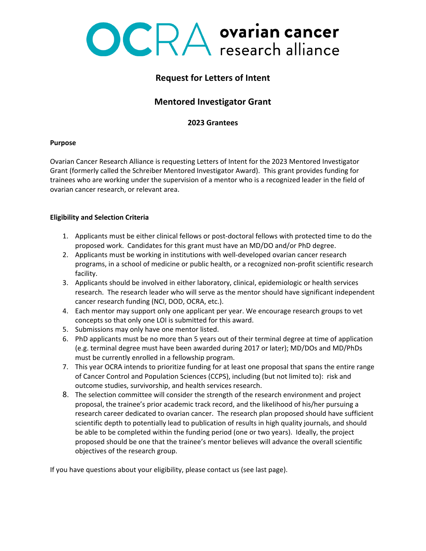# OCRA ovarian cancer

## **Request for Letters of Intent**

## **Mentored Investigator Grant**

### **2023 Grantees**

#### **Purpose**

Ovarian Cancer Research Alliance is requesting Letters of Intent for the 2023 Mentored Investigator Grant (formerly called the Schreiber Mentored Investigator Award). This grant provides funding for trainees who are working under the supervision of a mentor who is a recognized leader in the field of ovarian cancer research, or relevant area.

#### **Eligibility and Selection Criteria**

- 1. Applicants must be either clinical fellows or post-doctoral fellows with protected time to do the proposed work. Candidates for this grant must have an MD/DO and/or PhD degree.
- 2. Applicants must be working in institutions with well-developed ovarian cancer research programs, in a school of medicine or public health, or a recognized non-profit scientific research facility.
- 3. Applicants should be involved in either laboratory, clinical, epidemiologic or health services research. The research leader who will serve as the mentor should have significant independent cancer research funding (NCI, DOD, OCRA, etc.).
- 4. Each mentor may support only one applicant per year. We encourage research groups to vet concepts so that only one LOI is submitted for this award.
- 5. Submissions may only have one mentor listed.
- 6. PhD applicants must be no more than 5 years out of their terminal degree at time of application (e.g. terminal degree must have been awarded during 2017 or later); MD/DOs and MD/PhDs must be currently enrolled in a fellowship program.
- 7. This year OCRA intends to prioritize funding for at least one proposal that spans the entire range of Cancer Control and Population Sciences (CCPS), including (but not limited to): risk and outcome studies, survivorship, and health services research.
- 8. The selection committee will consider the strength of the research environment and project proposal, the trainee's prior academic track record, and the likelihood of his/her pursuing a research career dedicated to ovarian cancer. The research plan proposed should have sufficient scientific depth to potentially lead to publication of results in high quality journals, and should be able to be completed within the funding period (one or two years). Ideally, the project proposed should be one that the trainee's mentor believes will advance the overall scientific objectives of the research group.

If you have questions about your eligibility, please contact us (see last page).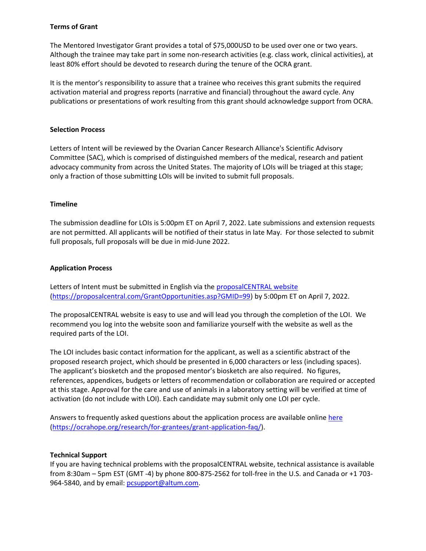#### **Terms of Grant**

The Mentored Investigator Grant provides a total of \$75,000USD to be used over one or two years. Although the trainee may take part in some non-research activities (e.g. class work, clinical activities), at least 80% effort should be devoted to research during the tenure of the OCRA grant.

It is the mentor's responsibility to assure that a trainee who receives this grant submits the required activation material and progress reports (narrative and financial) throughout the award cycle. Any publications or presentations of work resulting from this grant should acknowledge support from OCRA.

#### **Selection Process**

Letters of Intent will be reviewed by the Ovarian Cancer Research Alliance's Scientific Advisory Committee (SAC), which is comprised of distinguished members of the medical, research and patient advocacy community from across the United States. The majority of LOIs will be triaged at this stage; only a fraction of those submitting LOIs will be invited to submit full proposals.

#### **Timeline**

The submission deadline for LOIs is 5:00pm ET on April 7, 2022. Late submissions and extension requests are not permitted. All applicants will be notified of their status in late May. For those selected to submit full proposals, full proposals will be due in mid-June 2022.

#### **Application Process**

Letters of Intent must be submitted in English via the [proposalCENTRAL website](https://proposalcentral.com/GrantOpportunities.asp?GMID=99) [\(https://proposalcentral.com/GrantOpportunities.asp?GMID=99\)](https://proposalcentral.com/GrantOpportunities.asp?GMID=99) by 5:00pm ET on April 7, 2022.

The proposalCENTRAL website is easy to use and will lead you through the completion of the LOI. We recommend you log into the website soon and familiarize yourself with the website as well as the required parts of the LOI.

The LOI includes basic contact information for the applicant, as well as a scientific abstract of the proposed research project, which should be presented in 6,000 characters or less (including spaces). The applicant's biosketch and the proposed mentor's biosketch are also required. No figures, references, appendices, budgets or letters of recommendation or collaboration are required or accepted at this stage. Approval for the care and use of animals in a laboratory setting will be verified at time of activation (do not include with LOI). Each candidate may submit only one LOI per cycle.

Answers to frequently asked questions about the application process are available online [here](https://ocrahope.org/research/for-grantees/grant-application-faq/) [\(https://ocrahope.org/research/for-grantees/grant-application-faq/\)](https://ocrahope.org/research/for-grantees/grant-application-faq/).

#### **Technical Support**

If you are having technical problems with the proposalCENTRAL website, technical assistance is available from 8:30am – 5pm EST (GMT -4) by phone 800-875-2562 for toll-free in the U.S. and Canada or +1 703 964-5840, and by email: [pcsupport@altum.com.](mailto:pcsupport@altum.com)